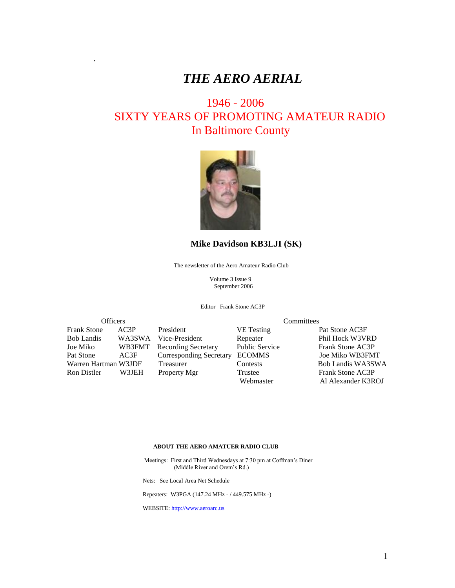# *THE AERO AERIAL*

# 1946 - 2006 SIXTY YEARS OF PROMOTING AMATEUR RADIO In Baltimore County



#### **Mike Davidson KB3LJI (SK)**

The newsletter of the Aero Amateur Radio Club

 Volume 3 Issue 9 September 2006

Editor Frank Stone AC3P

Frank Stone AC3P President VE Testing Pat Stone AC3F Bob Landis WA3SWA Vice-President Repeater Phil Hock W3VRD Joe Miko WB3FMT Recording Secretary Public Service Frank Stone AC3P Pat Stone AC3F Corresponding Secretary ECOMMS Joe Miko WB3FMT<br>Warren Hartman W3JDF Treasurer Contests Bob Landis WA3SWA Warren Hartman W3JDF Treasurer Contests Ron Distler W3JEH Property Mgr Trustee Frank Stone AC3P

.

Officers Committees

Webmaster Al Alexander K3ROJ

#### **ABOUT THE AERO AMATUER RADIO CLUB**

 Meetings: First and Third Wednesdays at 7:30 pm at Coffman's Diner (Middle River and Orem's Rd.)

Nets: See Local Area Net Schedule

Repeaters: W3PGA (147.24 MHz - / 449.575 MHz -)

WEBSITE: [http://www.aeroarc.us](http://www.aeroarc.us/)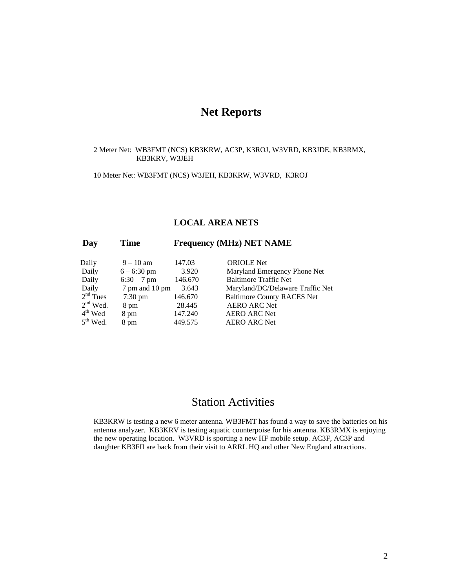# **Net Reports**

#### 2 Meter Net: WB3FMT (NCS) KB3KRW, AC3P, K3ROJ, W3VRD, KB3JDE, KB3RMX, KB3KRV, W3JEH

10 Meter Net: WB3FMT (NCS) W3JEH, KB3KRW, W3VRD, K3ROJ

#### **LOCAL AREA NETS**

### **Day Time Frequency (MHz) NET NAME**

| Daily      | $9 - 10$ am       | 147.03  | <b>ORIOLE</b> Net                 |
|------------|-------------------|---------|-----------------------------------|
| Daily      | $6 - 6:30$ pm     | 3.920   | Maryland Emergency Phone Net      |
| Daily      | $6:30 - 7$ pm     | 146.670 | <b>Baltimore Traffic Net</b>      |
| Daily      | 7 pm and 10 pm    | 3.643   | Maryland/DC/Delaware Traffic Net  |
| $2nd$ Tues | $7:30 \text{ pm}$ | 146.670 | <b>Baltimore County RACES Net</b> |
| $2nd$ Wed. | 8 pm              | 28.445  | <b>AERO ARC Net</b>               |
| $4th$ Wed  | 8 pm              | 147.240 | <b>AERO ARC Net</b>               |
| $5th$ Wed. | 8 pm              | 449.575 | <b>AERO ARC Net</b>               |
|            |                   |         |                                   |

## Station Activities

KB3KRW is testing a new 6 meter antenna. WB3FMT has found a way to save the batteries on his antenna analyzer. KB3KRV is testing aquatic counterpoise for his antenna. KB3RMX is enjoying the new operating location. W3VRD is sporting a new HF mobile setup. AC3F, AC3P and daughter KB3FII are back from their visit to ARRL HQ and other New England attractions.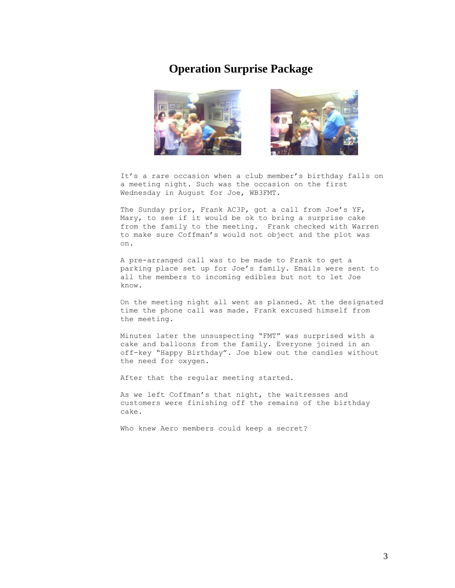### **Operation Surprise Package**



It's a rare occasion when a club member's birthday falls on a meeting night. Such was the occasion on the first Wednesday in August for Joe, WB3FMT.

The Sunday prior, Frank AC3P, got a call from Joe's YF, Mary, to see if it would be ok to bring a surprise cake from the family to the meeting. Frank checked with Warren to make sure Coffman's would not object and the plot was on.

A pre-arranged call was to be made to Frank to get a parking place set up for Joe's family. Emails were sent to all the members to incoming edibles but not to let Joe know.

On the meeting night all went as planned. At the designated time the phone call was made. Frank excused himself from the meeting.

Minutes later the unsuspecting "FMT" was surprised with a cake and balloons from the family. Everyone joined in an off-key "Happy Birthday". Joe blew out the candles without the need for oxygen.

After that the regular meeting started.

As we left Coffman's that night, the waitresses and customers were finishing off the remains of the birthday cake.

Who knew Aero members could keep a secret?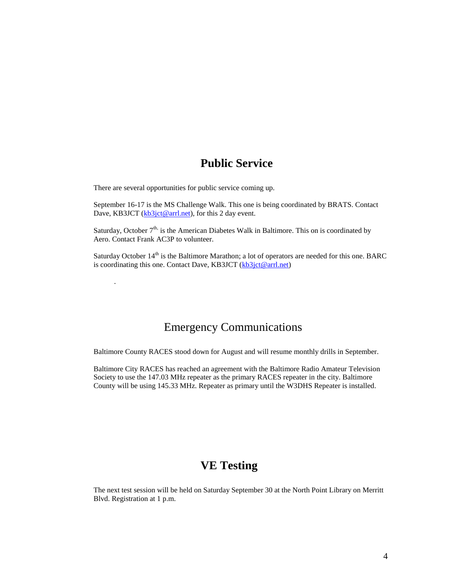## **Public Service**

There are several opportunities for public service coming up.

.

September 16-17 is the MS Challenge Walk. This one is being coordinated by BRATS. Contact Dave, KB3JCT [\(kb3jct@arrl.net\)](mailto:kb3jct@arrl.net), for this 2 day event.

Saturday, October  $7<sup>th</sup>$ , is the American Diabetes Walk in Baltimore. This on is coordinated by Aero. Contact Frank AC3P to volunteer.

Saturday October 14<sup>th</sup> is the Baltimore Marathon; a lot of operators are needed for this one. BARC is coordinating this one. Contact Dave, KB3JCT [\(kb3jct@arrl.net\)](mailto:kb3jct@arrl.net)

### Emergency Communications

Baltimore County RACES stood down for August and will resume monthly drills in September.

Baltimore City RACES has reached an agreement with the Baltimore Radio Amateur Television Society to use the 147.03 MHz repeater as the primary RACES repeater in the city. Baltimore County will be using 145.33 MHz. Repeater as primary until the W3DHS Repeater is installed.

## **VE Testing**

The next test session will be held on Saturday September 30 at the North Point Library on Merritt Blvd. Registration at 1 p.m.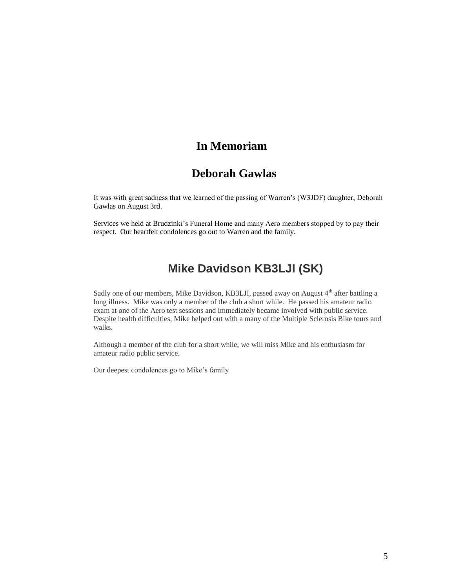# **In Memoriam**

## **Deborah Gawlas**

It was with great sadness that we learned of the passing of Warren's (W3JDF) daughter, Deborah Gawlas on August 3rd.

Services we held at Brudzinki's Funeral Home and many Aero members stopped by to pay their respect. Our heartfelt condolences go out to Warren and the family.

# **Mike Davidson KB3LJI (SK)**

Sadly one of our members, Mike Davidson, KB3LJI, passed away on August  $4<sup>th</sup>$  after battling a long illness. Mike was only a member of the club a short while. He passed his amateur radio exam at one of the Aero test sessions and immediately became involved with public service. Despite health difficulties, Mike helped out with a many of the Multiple Sclerosis Bike tours and walks.

Although a member of the club for a short while, we will miss Mike and his enthusiasm for amateur radio public service.

Our deepest condolences go to Mike's family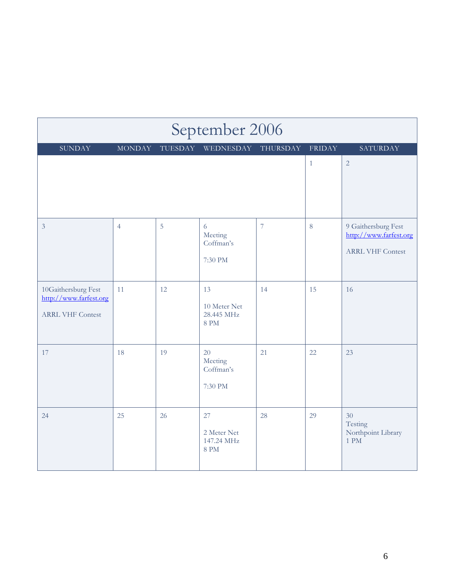| September 2006                                                           |                |         |                                                 |                  |               |                                                                          |  |  |  |  |
|--------------------------------------------------------------------------|----------------|---------|-------------------------------------------------|------------------|---------------|--------------------------------------------------------------------------|--|--|--|--|
| <b>SUNDAY</b>                                                            | <b>MONDAY</b>  | TUESDAY | WEDNESDAY                                       | THURSDAY         | <b>FRIDAY</b> | SATURDAY                                                                 |  |  |  |  |
|                                                                          |                |         |                                                 |                  | $\mathbf{1}$  | $\overline{2}$                                                           |  |  |  |  |
| $\overline{3}$                                                           | $\overline{4}$ | 5       | 6<br>Meeting<br>Coffman's<br>7:30 PM            | $\boldsymbol{7}$ | $\,8\,$       | 9 Gaithersburg Fest<br>http://www.farfest.org<br><b>ARRL VHF Contest</b> |  |  |  |  |
| 10Gaithersburg Fest<br>http://www.farfest.org<br><b>ARRL VHF Contest</b> | 11             | 12      | 13<br>10 Meter Net<br>28.445 MHz<br><b>8 PM</b> | 14               | 15            | 16                                                                       |  |  |  |  |
| 17                                                                       | 18             | 19      | 20<br>Meeting<br>Coffman's<br>7:30 PM           | 21               | 22            | 23                                                                       |  |  |  |  |
| 24                                                                       | 25             | 26      | 27<br>2 Meter Net<br>147.24 MHz<br>8 PM         | 28               | 29            | 30<br>Testing<br>Northpoint Library<br>1 PM                              |  |  |  |  |